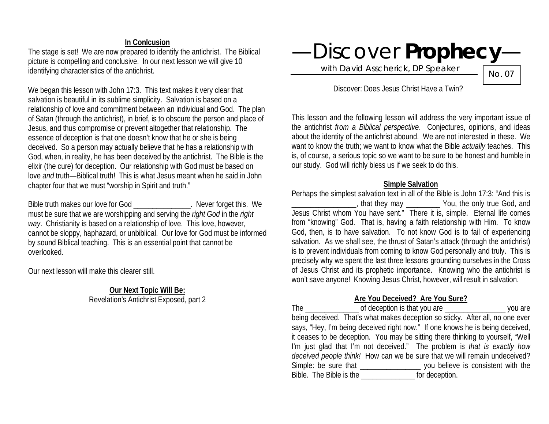## **In Conlcusion**

The stage is set! We are now prepared to identify the antichrist. The Biblical picture is compelling and conclusive. In our next lesson we will give 10 identifying characteristics of the antichrist.

We began this lesson with John 17:3. This text makes it very clear that salvation is beautiful in its sublime simplicity. Salvation is based on a relationship of love and commitment between an individual and God. The plan of Satan (through the antichrist), in brief, is to obscure the person and place of Jesus, and thus compromise or prevent altogether that relationship. The essence of deception is that one doesn't know that he or she is being deceived. So a person may actually believe that he has a relationship with God, when, in reality, he has been deceived by the antichrist. The Bible is the elixir (the cure) for deception. Our relationship with God must be based on love *and* truth—Biblical truth! This is what Jesus meant when he said in John chapter four that we must "worship in Spirit and truth."

Bible truth makes our love for God \_\_\_\_\_\_\_\_\_\_\_\_\_\_\_. Never forget this. We must be sure that we are worshipping and serving the *right God* in the *right way*. Christianity is based on a relationship of love. This love, however, cannot be sloppy, haphazard, or unbiblical. Our love for God must be informed by sound Biblical teaching. This is an essential point that cannot be overlooked.

Our next lesson will make this clearer still.

### **Our Next Topic Will Be:** Revelation's Antichrist Exposed, part 2

—Discover **Prophecy**—

with David Asscherick, DP Speaker

No. 07

Discover: Does Jesus Christ Have a Twin?

This lesson and the following lesson will address the very important issue of the antichrist *from a Biblical perspective*. Conjectures, opinions, and ideas about the identity of the antichrist abound. We are not interested in these. We want to know the truth; we want to know what the Bible *actually* teaches. This is, of course, a serious topic so we want to be sure to be honest and humble in our study. God will richly bless us if we seek to do this.

## **Simple Salvation**

Perhaps the simplest salvation text in all of the Bible is John 17:3: "And this is \_\_\_\_\_\_\_\_\_\_\_\_\_\_\_\_\_, that they may \_\_\_\_\_\_\_\_\_ You, the only true God, and Jesus Christ whom You have sent." There it is, simple. Eternal life comes from "knowing" God. That is, having a faith relationship with Him. To know God, then, is to have salvation. To not know God is to fail of experiencing salvation. As we shall see, the thrust of Satan's attack (through the antichrist) is to prevent individuals from coming to know God personally and truly. This is precisely why we spent the last three lessons grounding ourselves in the Cross of Jesus Christ and its prophetic importance. Knowing who the antichrist is won't save anyone! Knowing Jesus Christ, however, will result in salvation.

# **Are You Deceived? Are You Sure?**

The contract of deception is that you are the set of vou are the set of deception is that you are  $\sim$ being deceived. That's what makes deception so sticky. After all, no one ever says, "Hey, I'm being deceived right now." If one knows he is being deceived, it ceases to be deception. You may be sitting there thinking to yourself, "Well I'm just glad that I'm not deceived." The problem is *that is exactly how deceived people think!* How can we be sure that we will remain undeceived? Simple: be sure that \_\_\_\_\_\_\_\_\_\_\_\_\_\_\_\_ you believe is consistent with the Bible. The Bible is the  $\qquad \qquad$  for deception.